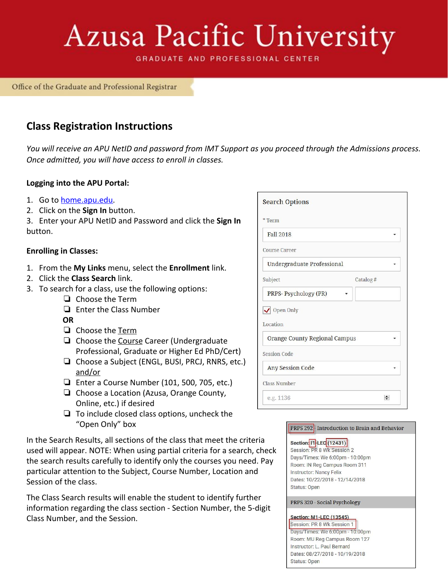# Azusa Pacific University

**GRADUATE AND PROFESSIONAL CENTER** 

Office of the Graduate and Professional Registrar

## **Class Registration Instructions**

*You will receive an APU NetID and password from IMT Support as you proceed through the Admissions process. Once admitted, you will have access to enroll in classes.*

## **Logging into the APU Portal:**

- 1. Go to [home.apu.edu](http://home.apu.edu/).
- 2. Click on the **Sign In** button.

3. Enter your APU NetID and Password and click the **Sign In** button.

## **Enrolling in Classes:**

- 1. From the **My Links** menu, select the **Enrollment** link.
- 2. Click the **Class Search** link.
- 3. To search for a class, use the following options:
	- ❏ Choose the Term
	- ❏ Enter the Class Number
	- **OR**
	- ❏ Choose the Term
	- ❏ Choose the Course Career (Undergraduate Professional, Graduate or Higher Ed PhD/Cert)
	- ❏ Choose a Subject (ENGL, BUSI, PRCJ, RNRS, etc.) and/or
	- ❏ Enter a Course Number (101, 500, 705, etc.)
	- ❏ Choose a Location (Azusa, Orange County, Online, etc.) if desired
	- ❏ To include closed class options, uncheck the "Open Only" box

In the Search Results, all sections of the class that meet the criteria used will appear. NOTE: When using partial criteria for a search, check the search results carefully to identify only the courses you need. Pay particular attention to the Subject, Course Number, Location and Session of the class.

The Class Search results will enable the student to identify further information regarding the class section - Section Number, the 5-digit Class Number, and the Session.

| <b>Search Options</b>             |        |
|-----------------------------------|--------|
| * Term                            |        |
| Fall 2018                         |        |
| <b>Course Career</b>              |        |
| <b>Undergraduate Professional</b> |        |
| Subject<br>Catalog#               |        |
| PRPS-Psychology (PR)              |        |
| √ Open Only                       |        |
| Location                          |        |
| Orange County Regional Campus     |        |
| <b>Session Code</b>               |        |
| <b>Any Session Code</b>           |        |
| <b>Class Number</b>               |        |
| e.g. 1136                         | $\div$ |

### PRPS 292 - Introduction to Brain and Behavior

## Section: 11-LEC (12431)

Session: PR 8 Wk Session 2 Days/Times: We 6:00pm - 10:00pm Room: IN Reg Campus Room 311 **Instructor: Nancy Felix** Dates: 10/22/2018 - 12/14/2018 Status: Open

PRPS 320 - Social Psychology

#### **Section: M1-LEC (13545)**

Session: PR 8 Wk Session 1 Days/Times: We 6:00pm - 10:00pm Room: MU Reg Campus Room 127 Instructor: L. Paul Bernard Dates: 08/27/2018 - 10/19/2018 **Status: Open**